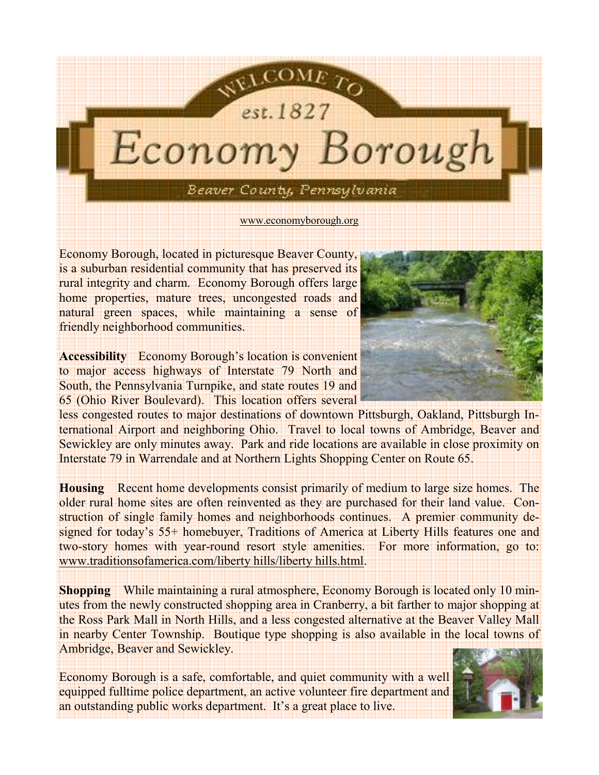

Economy Borough, located in picturesque Beaver County, is a suburban residential community that has preserved its rural integrity and charm. Economy Borough offers large home properties, mature trees, uncongested roads and natural green spaces, while maintaining a sense of friendly neighborhood communities.

Accessibility Economy Borough's location is convenient to major access highways of Interstate 79 North and South, the Pennsylvania Turnpike, and state routes 19 and 65 (Ohio River Boulevard). This location offers several

less congested routes to major destinations of downtown Pittsburgh, Oakland, Pittsburgh International Airport and neighboring Ohio. Travel to local towns of Ambridge, Beaver and Sewickley are only minutes away. Park and ride locations are available in close proximity on Interstate 79 in Warrendale and at Northern Lights Shopping Center on Route 65.

Housing Recent home developments consist primarily of medium to large size homes. The older rural home sites are often reinvented as they are purchased for their land value. Construction of single family homes and neighborhoods continues. A premier community designed for today's 55+ homebuyer, Traditions of America at Liberty Hills features one and two-story homes with year-round resort style amenities. For more information, go to: www.traditionsofamerica.com/liberty hills/liberty hills.html.

Shopping While maintaining a rural atmosphere, Economy Borough is located only 10 minutes from the newly constructed shopping area in Cranberry, a bit farther to major shopping at the Ross Park Mall in North Hills, and a less congested alternative at the Beaver Valley Mall in nearby Center Township. Boutique type shopping is also available in the local towns of Ambridge, Beaver and Sewickley.

Economy Borough is a safe, comfortable, and quiet community with a well equipped fulltime police department, an active volunteer fire department and an outstanding public works department. It's a great place to live.



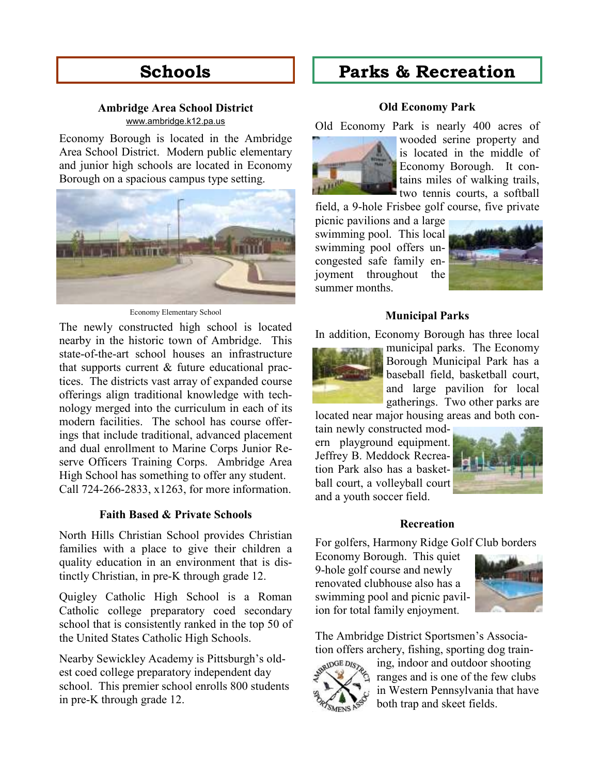# Schools

### Ambridge Area School District www.ambridge.k12.pa.us

Economy Borough is located in the Ambridge Area School District. Modern public elementary and junior high schools are located in Economy Borough on a spacious campus type setting.



Economy Elementary School

The newly constructed high school is located nearby in the historic town of Ambridge. This state-of-the-art school houses an infrastructure that supports current & future educational practices. The districts vast array of expanded course offerings align traditional knowledge with technology merged into the curriculum in each of its modern facilities. The school has course offerings that include traditional, advanced placement and dual enrollment to Marine Corps Junior Reserve Officers Training Corps. Ambridge Area High School has something to offer any student. Call 724-266-2833, x1263, for more information.

### Faith Based & Private Schools

North Hills Christian School provides Christian families with a place to give their children a quality education in an environment that is distinctly Christian, in pre-K through grade 12.

Quigley Catholic High School is a Roman Catholic college preparatory coed secondary school that is consistently ranked in the top 50 of the United States Catholic High Schools.

Nearby Sewickley Academy is Pittsburgh's oldest coed college preparatory independent day school. This premier school enrolls 800 students in pre-K through grade 12.

# Parks & Recreation

### Old Economy Park

Old Economy Park is nearly 400 acres of



wooded serine property and is located in the middle of Economy Borough. It contains miles of walking trails, two tennis courts, a softball

field, a 9-hole Frisbee golf course, five private

picnic pavilions and a large swimming pool. This local swimming pool offers uncongested safe family enjoyment throughout the summer months.



#### Municipal Parks

In addition, Economy Borough has three local



municipal parks. The Economy Borough Municipal Park has a baseball field, basketball court, and large pavilion for local gatherings. Two other parks are

located near major housing areas and both contain newly constructed modern playground equipment. Jeffrey B. Meddock Recreation Park also has a basketball court, a volleyball court and a youth soccer field.



# **Recreation**

For golfers, Harmony Ridge Golf Club borders

Economy Borough. This quiet 9-hole golf course and newly renovated clubhouse also has a swimming pool and picnic pavilion for total family enjoyment.



The Ambridge District Sportsmen's Association offers archery, fishing, sporting dog train-



ing, indoor and outdoor shooting ranges and is one of the few clubs in Western Pennsylvania that have both trap and skeet fields.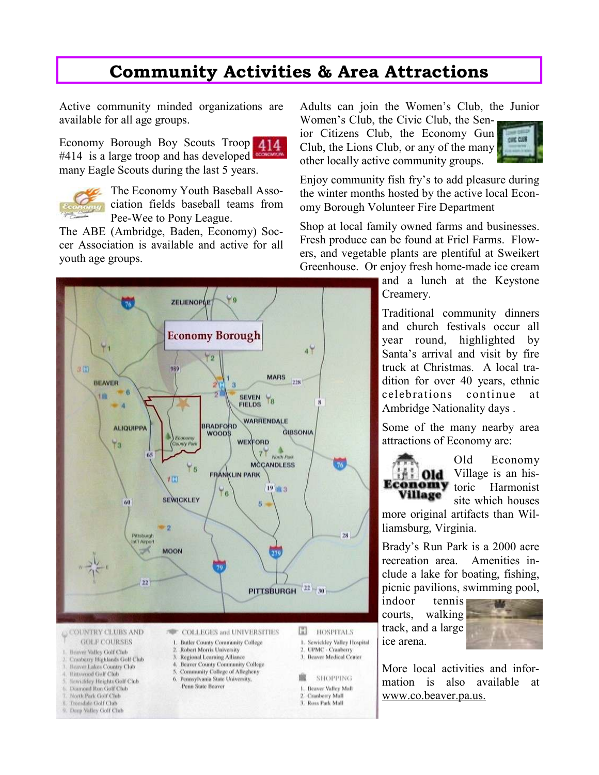# Community Activities & Area Attractions

Active community minded organizations are available for all age groups.

Economy Borough Boy Scouts Troop 414  $#414$  is a large troop and has developed many Eagle Scouts during the last 5 years.



Trondale Golf Club

9. Deep Valley Golf Club

The Economy Youth Baseball Association fields baseball teams from Pee-Wee to Pony League.

The ABE (Ambridge, Baden, Economy) Soccer Association is available and active for all youth age groups.



Adults can join the Women's Club, the Junior Women's Club, the Civic Club, the Sen-

ior Citizens Club, the Economy Gun Club, the Lions Club, or any of the many other locally active community groups.



Enjoy community fish fry's to add pleasure during the winter months hosted by the active local Economy Borough Volunteer Fire Department

Shop at local family owned farms and businesses. Fresh produce can be found at Friel Farms. Flowers, and vegetable plants are plentiful at Sweikert Greenhouse. Or enjoy fresh home-made ice cream

> and a lunch at the Keystone Creamery.

> Traditional community dinners and church festivals occur all year round, highlighted by Santa's arrival and visit by fire truck at Christmas. A local tradition for over 40 years, ethnic celebrations continue at Ambridge Nationality days .

Some of the many nearby area attractions of Economy are:

Old Economy **Old** Village is an his-**Economy** toric Harmonist Village site which houses

more original artifacts than Williamsburg, Virginia.

Brady's Run Park is a 2000 acre recreation area. Amenities include a lake for boating, fishing, picnic pavilions, swimming pool,

indoor tennis courts, walking track, and a large ice arena.

3. Ross Park Mall



More local activities and information is also available at www.co.beaver.pa.us.